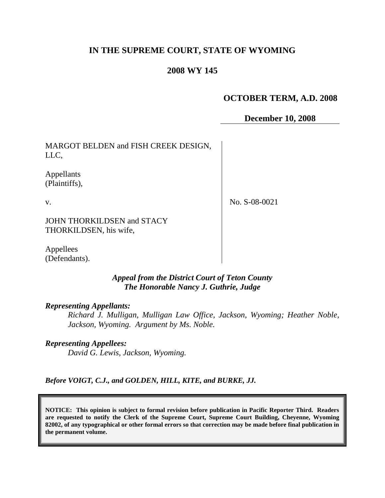# **IN THE SUPREME COURT, STATE OF WYOMING**

## **2008 WY 145**

# **OCTOBER TERM, A.D. 2008**

**December 10, 2008**

MARGOT BELDEN and FISH CREEK DESIGN, LLC,

Appellants (Plaintiffs),

v.

No. S-08-0021

JOHN THORKILDSEN and STACY THORKILDSEN, his wife,

Appellees (Defendants).

#### *Appeal from the District Court of Teton County The Honorable Nancy J. Guthrie, Judge*

*Representing Appellants:*

*Richard J. Mulligan, Mulligan Law Office, Jackson, Wyoming; Heather Noble, Jackson, Wyoming. Argument by Ms. Noble.*

*Representing Appellees:*

*David G. Lewis, Jackson, Wyoming.*

*Before VOIGT, C.J., and GOLDEN, HILL, KITE, and BURKE, JJ.*

**NOTICE: This opinion is subject to formal revision before publication in Pacific Reporter Third. Readers are requested to notify the Clerk of the Supreme Court, Supreme Court Building, Cheyenne, Wyoming 82002, of any typographical or other formal errors so that correction may be made before final publication in the permanent volume.**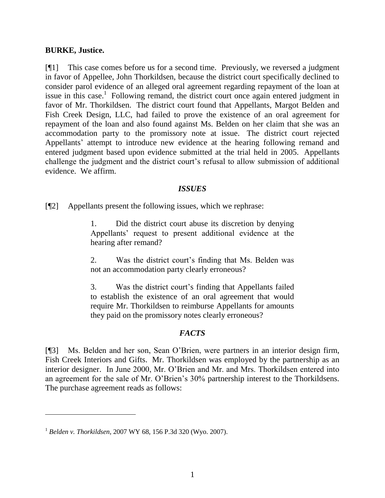#### **BURKE, Justice.**

[¶1] This case comes before us for a second time. Previously, we reversed a judgment in favor of Appellee, John Thorkildsen, because the district court specifically declined to consider parol evidence of an alleged oral agreement regarding repayment of the loan at issue in this case.<sup>1</sup> Following remand, the district court once again entered judgment in favor of Mr. Thorkildsen. The district court found that Appellants, Margot Belden and Fish Creek Design, LLC, had failed to prove the existence of an oral agreement for repayment of the loan and also found against Ms. Belden on her claim that she was an accommodation party to the promissory note at issue. The district court rejected Appellants' attempt to introduce new evidence at the hearing following remand and entered judgment based upon evidence submitted at the trial held in 2005. Appellants challenge the judgment and the district court's refusal to allow submission of additional evidence. We affirm.

### *ISSUES*

[¶2] Appellants present the following issues, which we rephrase:

1. Did the district court abuse its discretion by denying Appellants" request to present additional evidence at the hearing after remand?

2. Was the district court"s finding that Ms. Belden was not an accommodation party clearly erroneous?

3. Was the district court"s finding that Appellants failed to establish the existence of an oral agreement that would require Mr. Thorkildsen to reimburse Appellants for amounts they paid on the promissory notes clearly erroneous?

### *FACTS*

[¶3] Ms. Belden and her son, Sean O"Brien, were partners in an interior design firm, Fish Creek Interiors and Gifts. Mr. Thorkildsen was employed by the partnership as an interior designer. In June 2000, Mr. O"Brien and Mr. and Mrs. Thorkildsen entered into an agreement for the sale of Mr. O"Brien"s 30% partnership interest to the Thorkildsens. The purchase agreement reads as follows:

<sup>1</sup> *Belden v. Thorkildsen*, 2007 WY 68, 156 P.3d 320 (Wyo. 2007).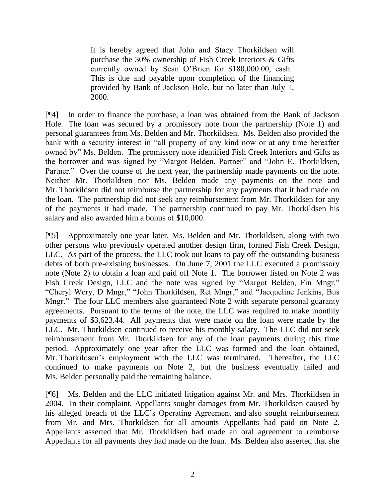It is hereby agreed that John and Stacy Thorkildsen will purchase the 30% ownership of Fish Creek Interiors & Gifts currently owned by Sean O"Brien for \$180,000.00, cash. This is due and payable upon completion of the financing provided by Bank of Jackson Hole, but no later than July 1, 2000.

[¶4] In order to finance the purchase, a loan was obtained from the Bank of Jackson Hole. The loan was secured by a promissory note from the partnership (Note 1) and personal guarantees from Ms. Belden and Mr. Thorkildsen. Ms. Belden also provided the bank with a security interest in "all property of any kind now or at any time hereafter owned by" Ms. Belden. The promissory note identified Fish Creek Interiors and Gifts as the borrower and was signed by "Margot Belden, Partner" and "John E. Thorkildsen, Partner." Over the course of the next year, the partnership made payments on the note. Neither Mr. Thorkildsen nor Ms. Belden made any payments on the note and Mr. Thorkildsen did not reimburse the partnership for any payments that it had made on the loan. The partnership did not seek any reimbursement from Mr. Thorkildsen for any of the payments it had made. The partnership continued to pay Mr. Thorkildsen his salary and also awarded him a bonus of \$10,000.

[¶5] Approximately one year later, Ms. Belden and Mr. Thorkildsen, along with two other persons who previously operated another design firm, formed Fish Creek Design, LLC. As part of the process, the LLC took out loans to pay off the outstanding business debts of both pre-existing businesses. On June 7, 2001 the LLC executed a promissory note (Note 2) to obtain a loan and paid off Note 1. The borrower listed on Note 2 was Fish Creek Design, LLC and the note was signed by "Margot Belden, Fin Mngr," "Cheryl Wery, D Mngr," "John Thorkildsen, Ret Mngr," and "Jacqueline Jenkins, Bus Mngr." The four LLC members also guaranteed Note 2 with separate personal guaranty agreements. Pursuant to the terms of the note, the LLC was required to make monthly payments of \$3,623.44. All payments that were made on the loan were made by the LLC. Mr. Thorkildsen continued to receive his monthly salary. The LLC did not seek reimbursement from Mr. Thorkildsen for any of the loan payments during this time period. Approximately one year after the LLC was formed and the loan obtained, Mr. Thorkildsen"s employment with the LLC was terminated. Thereafter, the LLC continued to make payments on Note 2, but the business eventually failed and Ms. Belden personally paid the remaining balance.

[¶6] Ms. Belden and the LLC initiated litigation against Mr. and Mrs. Thorkildsen in 2004. In their complaint, Appellants sought damages from Mr. Thorkildsen caused by his alleged breach of the LLC"s Operating Agreement and also sought reimbursement from Mr. and Mrs. Thorkildsen for all amounts Appellants had paid on Note 2. Appellants asserted that Mr. Thorkildsen had made an oral agreement to reimburse Appellants for all payments they had made on the loan. Ms. Belden also asserted that she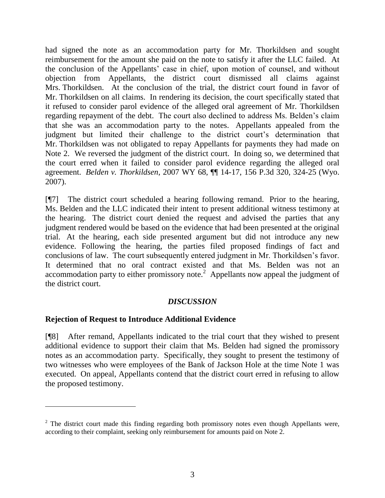had signed the note as an accommodation party for Mr. Thorkildsen and sought reimbursement for the amount she paid on the note to satisfy it after the LLC failed. At the conclusion of the Appellants" case in chief, upon motion of counsel, and without objection from Appellants, the district court dismissed all claims against Mrs. Thorkildsen. At the conclusion of the trial, the district court found in favor of Mr. Thorkildsen on all claims. In rendering its decision, the court specifically stated that it refused to consider parol evidence of the alleged oral agreement of Mr. Thorkildsen regarding repayment of the debt. The court also declined to address Ms. Belden"s claim that she was an accommodation party to the notes. Appellants appealed from the judgment but limited their challenge to the district court's determination that Mr. Thorkildsen was not obligated to repay Appellants for payments they had made on Note 2. We reversed the judgment of the district court. In doing so, we determined that the court erred when it failed to consider parol evidence regarding the alleged oral agreement. *Belden v. Thorkildsen*, 2007 WY 68, ¶¶ 14-17, 156 P.3d 320, 324-25 (Wyo. 2007).

[¶7] The district court scheduled a hearing following remand. Prior to the hearing, Ms. Belden and the LLC indicated their intent to present additional witness testimony at the hearing. The district court denied the request and advised the parties that any judgment rendered would be based on the evidence that had been presented at the original trial. At the hearing, each side presented argument but did not introduce any new evidence. Following the hearing, the parties filed proposed findings of fact and conclusions of law. The court subsequently entered judgment in Mr. Thorkildsen"s favor. It determined that no oral contract existed and that Ms. Belden was not an accommodation party to either promissory note.<sup>2</sup> Appellants now appeal the judgment of the district court.

### *DISCUSSION*

#### **Rejection of Request to Introduce Additional Evidence**

[¶8] After remand, Appellants indicated to the trial court that they wished to present additional evidence to support their claim that Ms. Belden had signed the promissory notes as an accommodation party. Specifically, they sought to present the testimony of two witnesses who were employees of the Bank of Jackson Hole at the time Note 1 was executed. On appeal, Appellants contend that the district court erred in refusing to allow the proposed testimony.

 $2\degree$  The district court made this finding regarding both promissory notes even though Appellants were, according to their complaint, seeking only reimbursement for amounts paid on Note 2.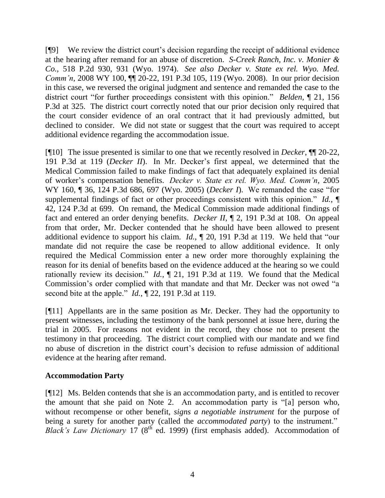[¶9] We review the district court"s decision regarding the receipt of additional evidence at the hearing after remand for an abuse of discretion. *S-Creek Ranch, Inc. v. Monier & Co.*, 518 P.2d 930, 931 (Wyo. 1974). *See also Decker v. State ex rel. Wyo. Med. Comm'n*, 2008 WY 100,  $\P$  20-22, 191 P.3d 105, 119 (Wyo. 2008). In our prior decision in this case, we reversed the original judgment and sentence and remanded the case to the district court "for further proceedings consistent with this opinion." *Belden*, ¶ 21, 156 P.3d at 325. The district court correctly noted that our prior decision only required that the court consider evidence of an oral contract that it had previously admitted, but declined to consider. We did not state or suggest that the court was required to accept additional evidence regarding the accommodation issue.

[¶10] The issue presented is similar to one that we recently resolved in *Decker*, ¶¶ 20-22, 191 P.3d at 119 (*Decker II*). In Mr. Decker"s first appeal, we determined that the Medical Commission failed to make findings of fact that adequately explained its denial of worker"s compensation benefits. *Decker v. State ex rel. Wyo. Med. Comm'n*, 2005 WY 160, ¶ 36, 124 P.3d 686, 697 (Wyo. 2005) (*Decker I*). We remanded the case "for supplemental findings of fact or other proceedings consistent with this opinion." *Id.*, ¶ 42, 124 P.3d at 699. On remand, the Medical Commission made additional findings of fact and entered an order denying benefits. *Decker II*, ¶ 2, 191 P.3d at 108. On appeal from that order, Mr. Decker contended that he should have been allowed to present additional evidence to support his claim. *Id.*, ¶ 20, 191 P.3d at 119. We held that "our mandate did not require the case be reopened to allow additional evidence. It only required the Medical Commission enter a new order more thoroughly explaining the reason for its denial of benefits based on the evidence adduced at the hearing so we could rationally review its decision." *Id.*, ¶ 21, 191 P.3d at 119. We found that the Medical Commission"s order complied with that mandate and that Mr. Decker was not owed "a second bite at the apple." *Id.*, ¶ 22, 191 P.3d at 119.

[¶11] Appellants are in the same position as Mr. Decker. They had the opportunity to present witnesses, including the testimony of the bank personnel at issue here, during the trial in 2005. For reasons not evident in the record, they chose not to present the testimony in that proceeding. The district court complied with our mandate and we find no abuse of discretion in the district court"s decision to refuse admission of additional evidence at the hearing after remand.

#### **Accommodation Party**

[¶12] Ms. Belden contends that she is an accommodation party, and is entitled to recover the amount that she paid on Note 2. An accommodation party is "[a] person who, without recompense or other benefit, *signs a negotiable instrument* for the purpose of being a surety for another party (called the *accommodated party*) to the instrument." *Black's Law Dictionary* 17 (8<sup>th</sup> ed. 1999) (first emphasis added). Accommodation of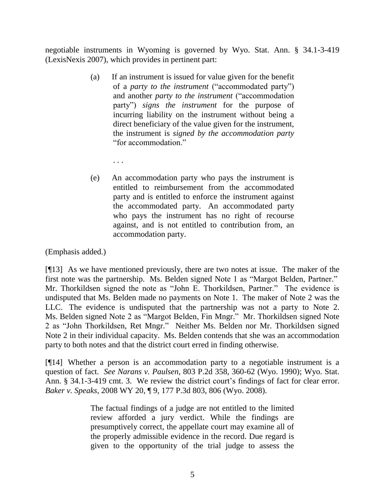negotiable instruments in Wyoming is governed by Wyo. Stat. Ann. § 34.1-3-419 (LexisNexis 2007), which provides in pertinent part:

- (a) If an instrument is issued for value given for the benefit of a *party to the instrument* ("accommodated party") and another *party to the instrument* ("accommodation party") *signs the instrument* for the purpose of incurring liability on the instrument without being a direct beneficiary of the value given for the instrument, the instrument is *signed by the accommodation party* "for accommodation."
	- . . .
- (e) An accommodation party who pays the instrument is entitled to reimbursement from the accommodated party and is entitled to enforce the instrument against the accommodated party. An accommodated party who pays the instrument has no right of recourse against, and is not entitled to contribution from, an accommodation party.

(Emphasis added.)

[¶13] As we have mentioned previously, there are two notes at issue. The maker of the first note was the partnership. Ms. Belden signed Note 1 as "Margot Belden, Partner." Mr. Thorkildsen signed the note as "John E. Thorkildsen, Partner." The evidence is undisputed that Ms. Belden made no payments on Note 1. The maker of Note 2 was the LLC. The evidence is undisputed that the partnership was not a party to Note 2. Ms. Belden signed Note 2 as "Margot Belden, Fin Mngr." Mr. Thorkildsen signed Note 2 as "John Thorkildsen, Ret Mngr." Neither Ms. Belden nor Mr. Thorkildsen signed Note 2 in their individual capacity. Ms. Belden contends that she was an accommodation party to both notes and that the district court erred in finding otherwise.

[¶14] Whether a person is an accommodation party to a negotiable instrument is a question of fact. *See Narans v. Paulsen*, 803 P.2d 358, 360-62 (Wyo. 1990); Wyo. Stat. Ann. § 34.1-3-419 cmt. 3. We review the district court's findings of fact for clear error. *Baker v. Speaks*, 2008 WY 20, ¶ 9, 177 P.3d 803, 806 (Wyo. 2008).

> The factual findings of a judge are not entitled to the limited review afforded a jury verdict. While the findings are presumptively correct, the appellate court may examine all of the properly admissible evidence in the record. Due regard is given to the opportunity of the trial judge to assess the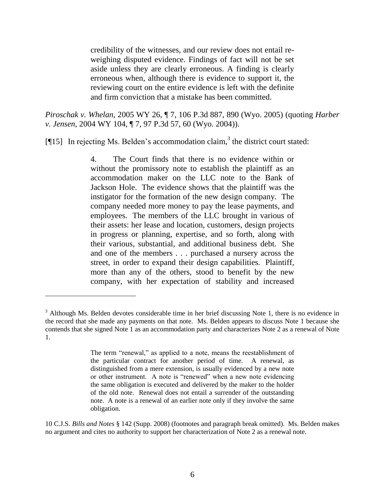credibility of the witnesses, and our review does not entail reweighing disputed evidence. Findings of fact will not be set aside unless they are clearly erroneous. A finding is clearly erroneous when, although there is evidence to support it, the reviewing court on the entire evidence is left with the definite and firm conviction that a mistake has been committed.

*Piroschak v. Whelan*, 2005 WY 26, ¶ 7, 106 P.3d 887, 890 (Wyo. 2005) (quoting *Harber v. Jensen*, 2004 WY 104, ¶ 7, 97 P.3d 57, 60 (Wyo. 2004)).

[¶15] In rejecting Ms. Belden's accommodation claim,<sup>3</sup> the district court stated:

4. The Court finds that there is no evidence within or without the promissory note to establish the plaintiff as an accommodation maker on the LLC note to the Bank of Jackson Hole. The evidence shows that the plaintiff was the instigator for the formation of the new design company. The company needed more money to pay the lease payments, and employees. The members of the LLC brought in various of their assets: her lease and location, customers, design projects in progress or planning, expertise, and so forth, along with their various, substantial, and additional business debt. She and one of the members . . . purchased a nursery across the street, in order to expand their design capabilities. Plaintiff, more than any of the others, stood to benefit by the new company, with her expectation of stability and increased

 $\overline{a}$ 

10 C.J.S. *Bills and Notes* § 142 (Supp. 2008) (footnotes and paragraph break omitted). Ms. Belden makes no argument and cites no authority to support her characterization of Note 2 as a renewal note.

 $3$  Although Ms. Belden devotes considerable time in her brief discussing Note 1, there is no evidence in the record that she made any payments on that note. Ms. Belden appears to discuss Note 1 because she contends that she signed Note 1 as an accommodation party and characterizes Note 2 as a renewal of Note 1.

The term "renewal," as applied to a note, means the reestablishment of the particular contract for another period of time. A renewal, as distinguished from a mere extension, is usually evidenced by a new note or other instrument. A note is "renewed" when a new note evidencing the same obligation is executed and delivered by the maker to the holder of the old note. Renewal does not entail a surrender of the outstanding note. A note is a renewal of an earlier note only if they involve the same obligation.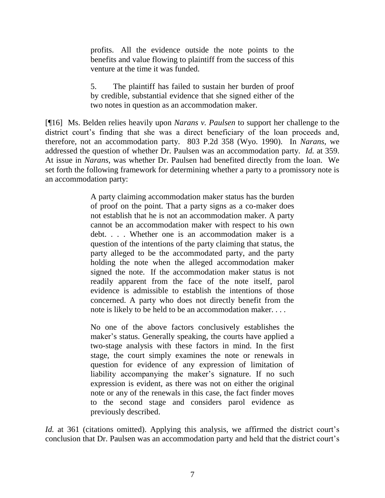profits. All the evidence outside the note points to the benefits and value flowing to plaintiff from the success of this venture at the time it was funded.

5. The plaintiff has failed to sustain her burden of proof by credible, substantial evidence that she signed either of the two notes in question as an accommodation maker.

[¶16] Ms. Belden relies heavily upon *Narans v. Paulsen* to support her challenge to the district court's finding that she was a direct beneficiary of the loan proceeds and, therefore, not an accommodation party. 803 P.2d 358 (Wyo. 1990). In *Narans*, we addressed the question of whether Dr. Paulsen was an accommodation party. *Id.* at 359. At issue in *Narans*, was whether Dr. Paulsen had benefited directly from the loan. We set forth the following framework for determining whether a party to a promissory note is an accommodation party:

> A party claiming accommodation maker status has the burden of proof on the point. That a party signs as a co-maker does not establish that he is not an accommodation maker. A party cannot be an accommodation maker with respect to his own debt. . . . Whether one is an accommodation maker is a question of the intentions of the party claiming that status, the party alleged to be the accommodated party, and the party holding the note when the alleged accommodation maker signed the note. If the accommodation maker status is not readily apparent from the face of the note itself, parol evidence is admissible to establish the intentions of those concerned. A party who does not directly benefit from the note is likely to be held to be an accommodation maker. . . .

> No one of the above factors conclusively establishes the maker's status. Generally speaking, the courts have applied a two-stage analysis with these factors in mind. In the first stage, the court simply examines the note or renewals in question for evidence of any expression of limitation of liability accompanying the maker's signature. If no such expression is evident, as there was not on either the original note or any of the renewals in this case, the fact finder moves to the second stage and considers parol evidence as previously described.

*Id.* at 361 (citations omitted). Applying this analysis, we affirmed the district court's conclusion that Dr. Paulsen was an accommodation party and held that the district court"s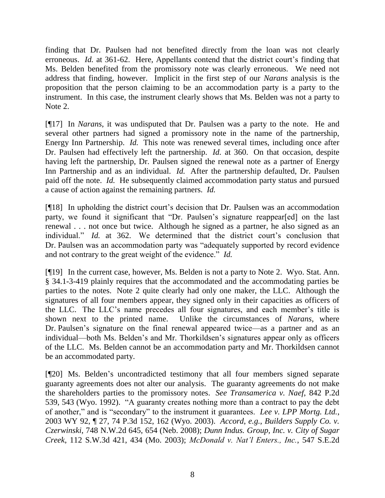finding that Dr. Paulsen had not benefited directly from the loan was not clearly erroneous. *Id.* at 361-62. Here, Appellants contend that the district court's finding that Ms. Belden benefited from the promissory note was clearly erroneous. We need not address that finding, however. Implicit in the first step of our *Narans* analysis is the proposition that the person claiming to be an accommodation party is a party to the instrument. In this case, the instrument clearly shows that Ms. Belden was not a party to Note 2.

[¶17] In *Narans*, it was undisputed that Dr. Paulsen was a party to the note. He and several other partners had signed a promissory note in the name of the partnership, Energy Inn Partnership. *Id.* This note was renewed several times, including once after Dr. Paulsen had effectively left the partnership. *Id.* at 360. On that occasion, despite having left the partnership, Dr. Paulsen signed the renewal note as a partner of Energy Inn Partnership and as an individual. *Id.* After the partnership defaulted, Dr. Paulsen paid off the note. *Id.* He subsequently claimed accommodation party status and pursued a cause of action against the remaining partners. *Id.*

[¶18] In upholding the district court's decision that Dr. Paulsen was an accommodation party, we found it significant that "Dr. Paulsen"s signature reappear[ed] on the last renewal . . . not once but twice. Although he signed as a partner, he also signed as an individual." *Id.* at 362. We determined that the district court's conclusion that Dr. Paulsen was an accommodation party was "adequately supported by record evidence and not contrary to the great weight of the evidence." *Id.*

[¶19] In the current case, however, Ms. Belden is not a party to Note 2. Wyo. Stat. Ann. § 34.1-3-419 plainly requires that the accommodated and the accommodating parties be parties to the notes. Note 2 quite clearly had only one maker, the LLC. Although the signatures of all four members appear, they signed only in their capacities as officers of the LLC. The LLC"s name precedes all four signatures, and each member"s title is shown next to the printed name. Unlike the circumstances of *Narans*, where Dr. Paulsen"s signature on the final renewal appeared twice—as a partner and as an individual—both Ms. Belden's and Mr. Thorkildsen's signatures appear only as officers of the LLC. Ms. Belden cannot be an accommodation party and Mr. Thorkildsen cannot be an accommodated party.

[¶20] Ms. Belden"s uncontradicted testimony that all four members signed separate guaranty agreements does not alter our analysis. The guaranty agreements do not make the shareholders parties to the promissory notes. *See Transamerica v. Naef*, 842 P.2d 539, 543 (Wyo. 1992). "A guaranty creates nothing more than a contract to pay the debt of another," and is "secondary" to the instrument it guarantees. *Lee v. LPP Mortg. Ltd.*, 2003 WY 92, ¶ 27, 74 P.3d 152, 162 (Wyo. 2003). *Accord*, *e.g.*, *Builders Supply Co. v. Czerwinski*, 748 N.W.2d 645, 654 (Neb. 2008); *Dunn Indus. Group, Inc. v. City of Sugar Creek*, 112 S.W.3d 421, 434 (Mo. 2003); *McDonald v. Nat'l Enters., Inc.*, 547 S.E.2d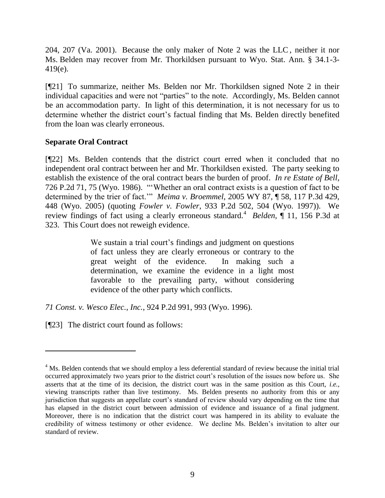204, 207 (Va. 2001). Because the only maker of Note 2 was the LLC , neither it nor Ms. Belden may recover from Mr. Thorkildsen pursuant to Wyo. Stat. Ann. § 34.1-3- 419(e).

[¶21] To summarize, neither Ms. Belden nor Mr. Thorkildsen signed Note 2 in their individual capacities and were not "parties" to the note. Accordingly, Ms. Belden cannot be an accommodation party. In light of this determination, it is not necessary for us to determine whether the district court's factual finding that Ms. Belden directly benefited from the loan was clearly erroneous.

#### **Separate Oral Contract**

[¶22] Ms. Belden contends that the district court erred when it concluded that no independent oral contract between her and Mr. Thorkildsen existed. The party seeking to establish the existence of the oral contract bears the burden of proof. *In re Estate of Bell*, 726 P.2d 71, 75 (Wyo. 1986). ""Whether an oral contract exists is a question of fact to be determined by the trier of fact."" *Meima v. Broemmel*, 2005 WY 87, ¶ 58, 117 P.3d 429, 448 (Wyo. 2005) (quoting *Fowler v. Fowler*, 933 P.2d 502, 504 (Wyo. 1997)). We review findings of fact using a clearly erroneous standard.<sup>4</sup> Belden, 11, 156 P.3d at 323. This Court does not reweigh evidence.

> We sustain a trial court's findings and judgment on questions of fact unless they are clearly erroneous or contrary to the great weight of the evidence. In making such a determination, we examine the evidence in a light most favorable to the prevailing party, without considering evidence of the other party which conflicts.

*71 Const. v. Wesco Elec., Inc.*, 924 P.2d 991, 993 (Wyo. 1996).

[¶23] The district court found as follows:

<sup>&</sup>lt;sup>4</sup> Ms. Belden contends that we should employ a less deferential standard of review because the initial trial occurred approximately two years prior to the district court's resolution of the issues now before us. She asserts that at the time of its decision, the district court was in the same position as this Court, *i.e.*, viewing transcripts rather than live testimony. Ms. Belden presents no authority from this or any jurisdiction that suggests an appellate court"s standard of review should vary depending on the time that has elapsed in the district court between admission of evidence and issuance of a final judgment. Moreover, there is no indication that the district court was hampered in its ability to evaluate the credibility of witness testimony or other evidence. We decline Ms. Belden"s invitation to alter our standard of review.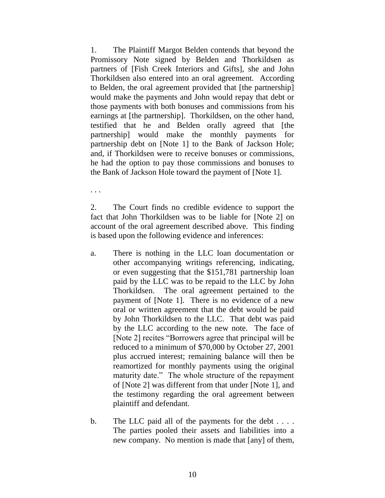1. The Plaintiff Margot Belden contends that beyond the Promissory Note signed by Belden and Thorkildsen as partners of [Fish Creek Interiors and Gifts], she and John Thorkildsen also entered into an oral agreement. According to Belden, the oral agreement provided that [the partnership] would make the payments and John would repay that debt or those payments with both bonuses and commissions from his earnings at [the partnership]. Thorkildsen, on the other hand, testified that he and Belden orally agreed that [the partnership] would make the monthly payments for partnership debt on [Note 1] to the Bank of Jackson Hole; and, if Thorkildsen were to receive bonuses or commissions, he had the option to pay those commissions and bonuses to the Bank of Jackson Hole toward the payment of [Note 1].

. . .

2. The Court finds no credible evidence to support the fact that John Thorkildsen was to be liable for [Note 2] on account of the oral agreement described above. This finding is based upon the following evidence and inferences:

- a. There is nothing in the LLC loan documentation or other accompanying writings referencing, indicating, or even suggesting that the \$151,781 partnership loan paid by the LLC was to be repaid to the LLC by John Thorkildsen. The oral agreement pertained to the payment of [Note 1]. There is no evidence of a new oral or written agreement that the debt would be paid by John Thorkildsen to the LLC. That debt was paid by the LLC according to the new note. The face of [Note 2] recites "Borrowers agree that principal will be reduced to a minimum of \$70,000 by October 27, 2001 plus accrued interest; remaining balance will then be reamortized for monthly payments using the original maturity date." The whole structure of the repayment of [Note 2] was different from that under [Note 1], and the testimony regarding the oral agreement between plaintiff and defendant.
- b. The LLC paid all of the payments for the debt . . . . The parties pooled their assets and liabilities into a new company. No mention is made that [any] of them,